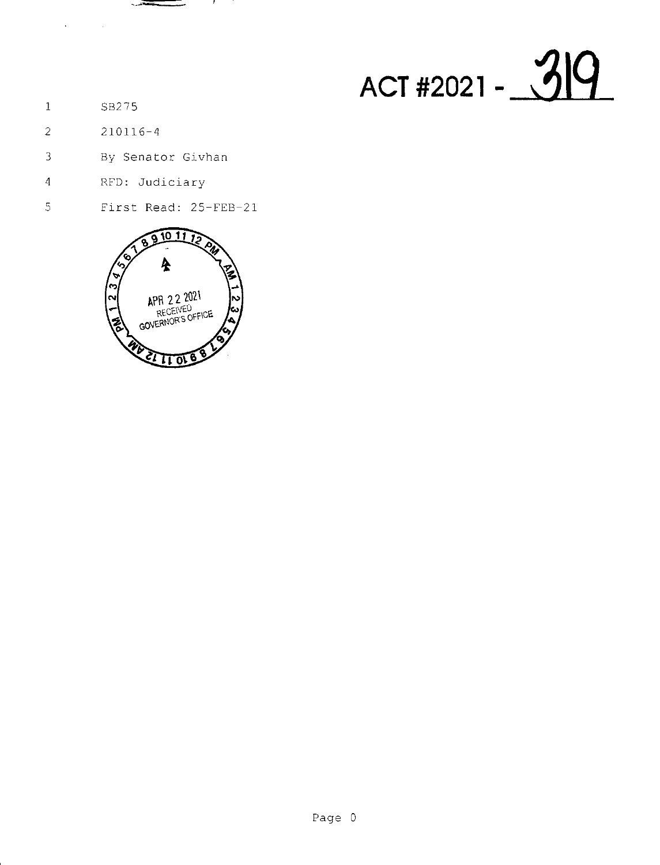## ACT #2021 - 319

- $\mathbf{1}$ SB275
- $\overline{2}$  $210116 - 4$
- $\overline{3}$ By Senator Givhan

تفديد

,,

- RFD: Judiciary  $\overline{4}$
- First Read: 25-FEB-21  $\overline{5}$

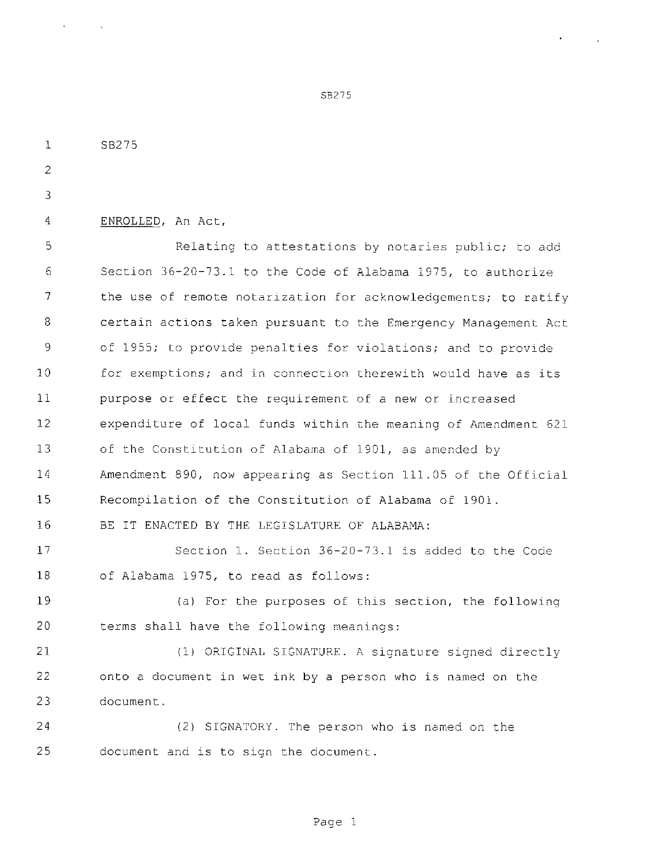SB275 ENROLLED, An Act, Relating to attestations by notaries public; to add Section 36-20-73.1 to the Code of Alabama 1975, to authorize the use of remote notarization for acknowledgements; to ratify certain actions taken pursuant to the Emergency Management Act of 1955; to provide penalties for violations; and to provide for exemptions; and in connection therewith would have as its purpose or effect the requirement of a new or increased expenditure of local tunds within the meaning of Amendment 621 of the Constitution of Alabama of 1901, as amended by Amendment 890, now appearing as Section 111.05 of the Official Recompilation of the Constitution of Alabama of 1901. BE IT ENACTED BY THE LEGISLATURE OF ALABAMA: Section 1. Section 36-20-73.1 is added to the Code of Alabama 1975, to read as follows: 19 (a) For the purposes of this section, the following terms shall have the following meanings: (1) ORIGINAL SIGNATURE. A signature signed directly onto a document in wet ink by a person who is named on the document. (2) SIGNATORY. The person who is named on the document and is to sign the document.

SB275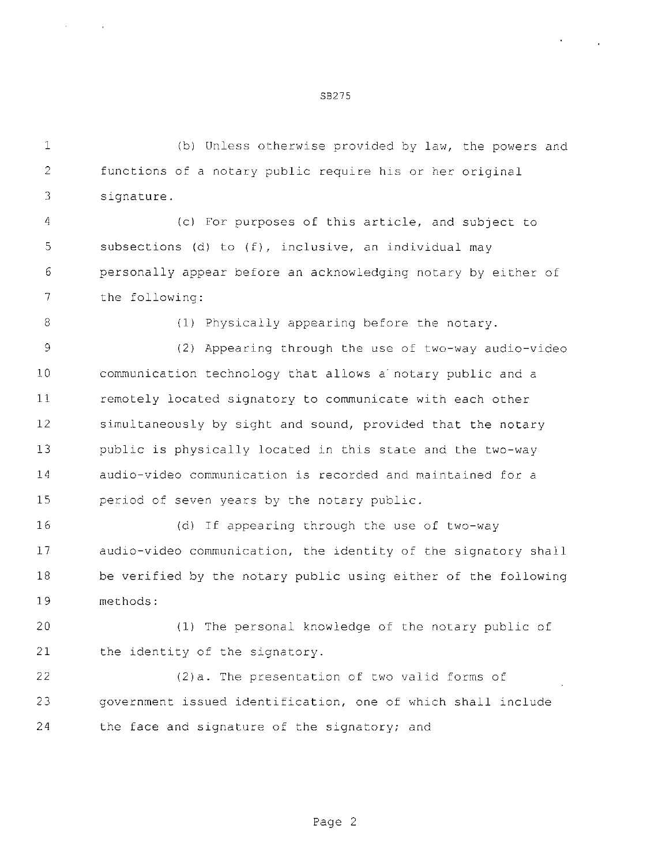(b) Unless otherwise provided by law, the powers and functions of a notary public require his or her original signature.

SB275

 (c) For purposes of this article, and subject to 5 subsections (d) to (f), inclusive, an individual may personally appear before an acknowledging notary by either of the following:

(1) Physically appearing before the notary.

 (2) Appearing through the use of two-way audio-video communication technology that allows <sup>a</sup>' notary public and a remotely located signatory to communicate with each other simultaneously by sight and sound, provided that the notary public is physically located in this state and the two-way audio-video communication is recorded and maintained for a period of seven years by the notary public.

 (d) If appearing through the use of two-way audio-video communication, the identity of the signatory shall be verified by the notary public using either of the following methods:

 (1) The personal knowledge of the notary public of the identity of the signatory.

 (2)a. The presentation of two valid forms of government issued identification, one of which shall include the face and signature of the signatory; and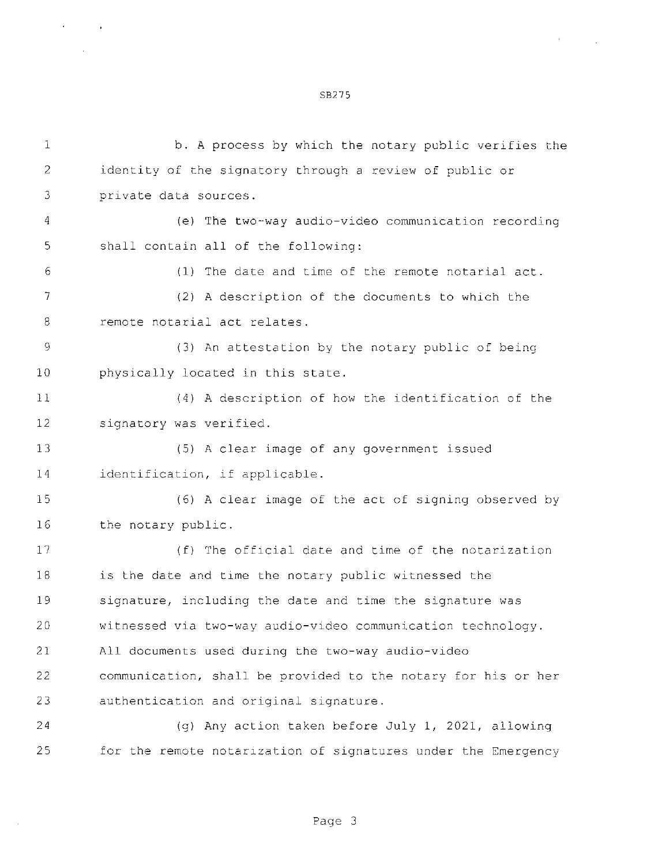b. A process by which the notary public verifies the identity of the signatory through a review of public or private data sources. (e) The two-way audio-video communication recording shall contain all of the following: (1) The date and time of the remote notarial act. {2) A description of the documents to which the remote notarial act relates. (3) An attestation by the notary public of being physically located in this state. (4) A description of how the identification of the signatory was verified. (5) A clear image of any government issued identification, if applicable. (6) A clear image of the act of signing observed by the notary public. (f) The official date and time of the notarization is the date and time the notary public witnessed the signature, including the date and time the signature was witnessed via two-way audio-video communication technology. All documents used during the two-way audio-video communication, shall be provided to the notary for his or her authentication and original signature. (g) Any action taken before July 1, 2021, allowing for the remote notarization of signatures under the Emergency

SB275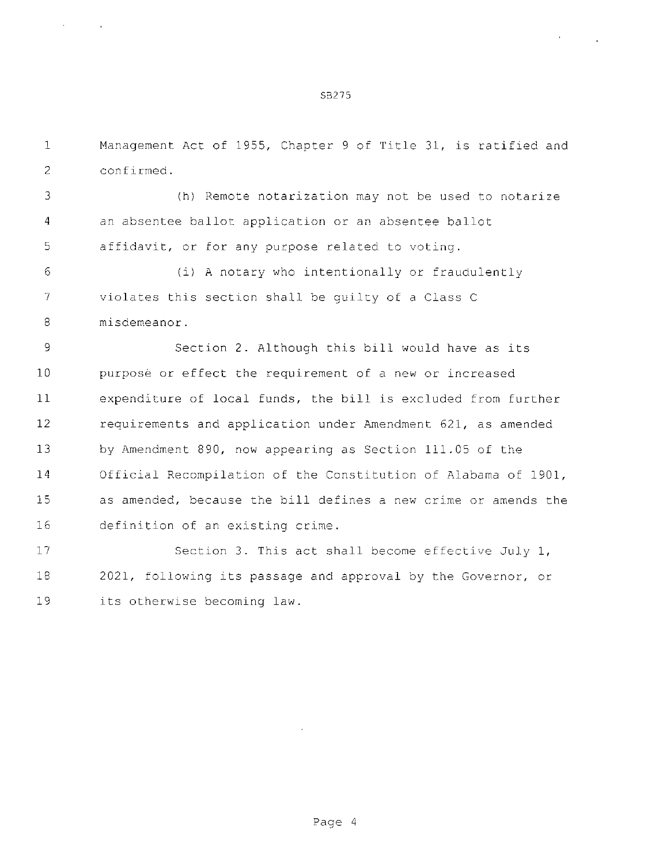S3275

 Management Act of 1955, Chapter <sup>9</sup> of Title 31, is ratified and confirmed.

 (h) Remote notarization may not be used to notarize an absentee ballot application or an absentee ballot affidavit. or for any purpose related to voting.

 (i) A notary who intentionally or fraudulently violates this section shall be guilty of a Class C misdemeanor.

 Section 2. Although this bill would have as its purpose or effect the requirement of a new or increased expenditure of local funds, the bill is excluded from further requirements and application under Amendment 621, as amended by Amendment 890, now appearing as Section 111.05 of the Official Recompilation of the Constitution of Alabama of 1901, as amended, because the bill defines a new crime or amends the definition of an existing crime.

17 Section 3. This act shall become effective July 1, 2021, following its passage and approval by the Governor, or its otherwise becoming law.

Page <sup>4</sup>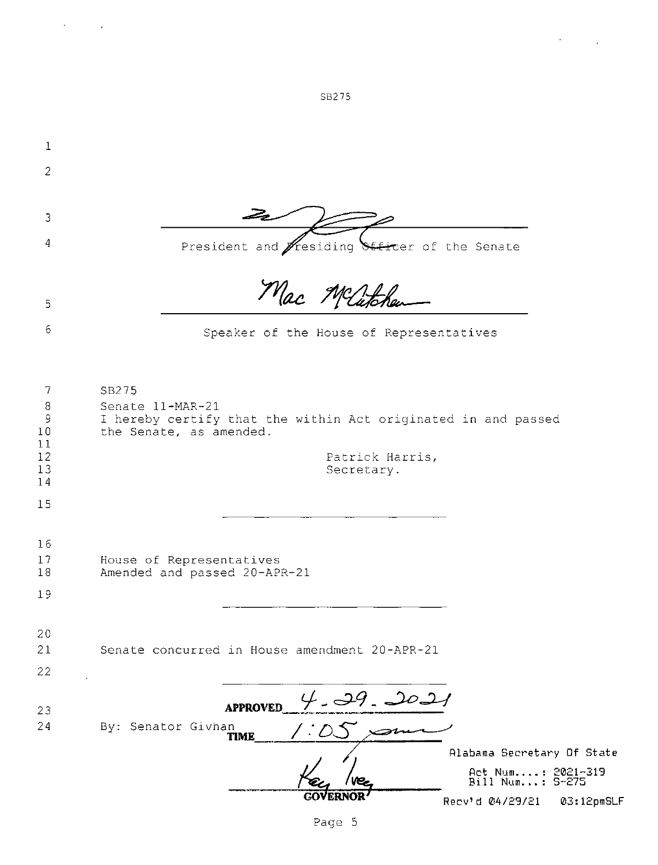| $\mathbf 1$                            |                                                                                                                       |  |
|----------------------------------------|-----------------------------------------------------------------------------------------------------------------------|--|
| $\overline{2}$                         |                                                                                                                       |  |
|                                        |                                                                                                                       |  |
| 3                                      |                                                                                                                       |  |
| 4                                      | President and <i>Fresiding</i> Siticer of the Senate                                                                  |  |
|                                        | Mac Matchen                                                                                                           |  |
| 5                                      |                                                                                                                       |  |
| 6                                      | Speaker of the House of Representatives                                                                               |  |
|                                        |                                                                                                                       |  |
| 7<br>$\, 8$<br>$\mathsf 9$<br>10<br>11 | SB275<br>Senate 11-MAR-21<br>I hereby certify that the within Act originated in and passed<br>the Senate, as amended. |  |
| 12<br>13                               | Patrick Harris,<br>Secretary.                                                                                         |  |
| 14                                     |                                                                                                                       |  |
| 15                                     |                                                                                                                       |  |
| 16<br>17<br>18                         | House of Representatives<br>Amended and passed 20-APR-21                                                              |  |
| 19                                     |                                                                                                                       |  |
|                                        |                                                                                                                       |  |
| 20<br>21                               | Senate concurred in House amendment 20-APR-21                                                                         |  |
| 22                                     |                                                                                                                       |  |
|                                        |                                                                                                                       |  |
| 23                                     | 4.39.2021<br><b>APPROVED</b>                                                                                          |  |
| 24                                     | By: Senator Givhan                                                                                                    |  |
|                                        | Alabama Secretary Of State                                                                                            |  |
|                                        | Act Num: 2021-319<br>Bill Num: 5-275                                                                                  |  |
|                                        | 03:12pmSLF<br>Recv'd 04/29/21                                                                                         |  |

SB275

 $\sim 0.5$  and  $\sim 10$ 

 $\mathcal{A}^{\text{max}}_{\text{max}}$  and  $\mathcal{A}^{\text{max}}_{\text{max}}$